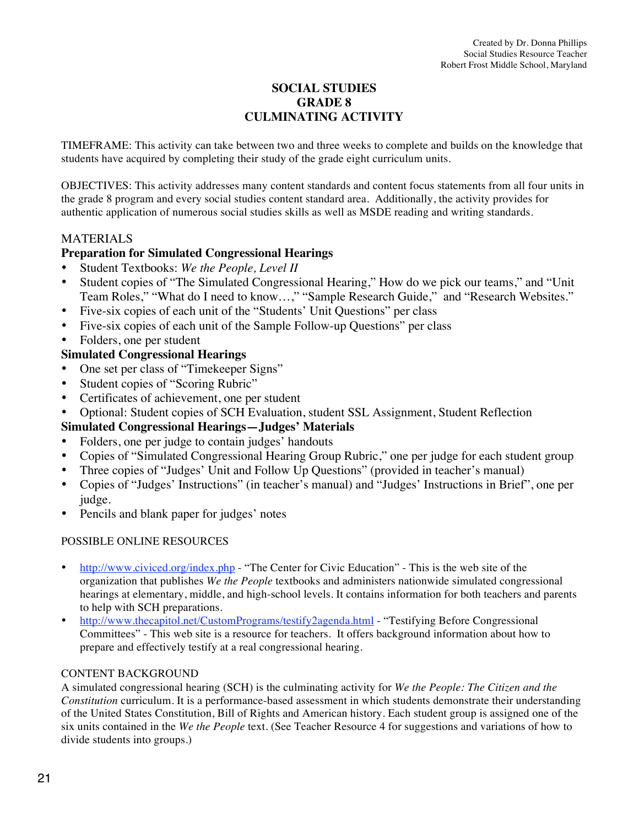# **SOCIAL STUDIES GRADE 8 CULMINATING ACTIVITY**

TIMEFRAME: This activity can take between two and three weeks to complete and builds on the knowledge that students have acquired by completing their study of the grade eight curriculum units.

OBJECTIVES: This activity addresses many content standards and content focus statements from all four units in the grade 8 program and every social studies content standard area. Additionally, the activity provides for authentic application of numerous social studies skills as well as MSDE reading and writing standards.

# **MATERIALS**

# **Preparation for Simulated Congressional Hearings**

- Student Textbooks: *We the People, Level II*
- Student copies of "The Simulated Congressional Hearing," How do we pick our teams," and "Unit Team Roles," "What do I need to know…," "Sample Research Guide," and "Research Websites."
- Five-six copies of each unit of the "Students' Unit Questions" per class
- Five-six copies of each unit of the Sample Follow-up Questions" per class
- Folders, one per student

# **Simulated Congressional Hearings**

- One set per class of "Timekeeper Signs"
- Student copies of "Scoring Rubric"
- Certificates of achievement, one per student
- Optional: Student copies of SCH Evaluation, student SSL Assignment, Student Reflection

# **Simulated Congressional Hearings—Judges' Materials**

- Folders, one per judge to contain judges' handouts
- Copies of "Simulated Congressional Hearing Group Rubric," one per judge for each student group
- Three copies of "Judges' Unit and Follow Up Questions" (provided in teacher's manual)
- Copies of "Judges' Instructions" (in teacher's manual) and "Judges' Instructions in Brief", one per judge.
- Pencils and blank paper for judges' notes

# POSSIBLE ONLINE RESOURCES

- http://www.civiced.org/index.php "The Center for Civic Education" This is the web site of the organization that publishes *We the People* textbooks and administers nationwide simulated congressional hearings at elementary, middle, and high-school levels. It contains information for both teachers and parents to help with SCH preparations.
- http://www.thecapitol.net/CustomPrograms/testify2agenda.html "Testifying Before Congressional Committees" - This web site is a resource for teachers. It offers background information about how to prepare and effectively testify at a real congressional hearing.

# CONTENT BACKGROUND

A simulated congressional hearing (SCH) is the culminating activity for *We the People: The Citizen and the Constitution* curriculum. It is a performance-based assessment in which students demonstrate their understanding of the United States Constitution, Bill of Rights and American history. Each student group is assigned one of the six units contained in the *We the People* text. (See Teacher Resource 4 for suggestions and variations of how to divide students into groups.)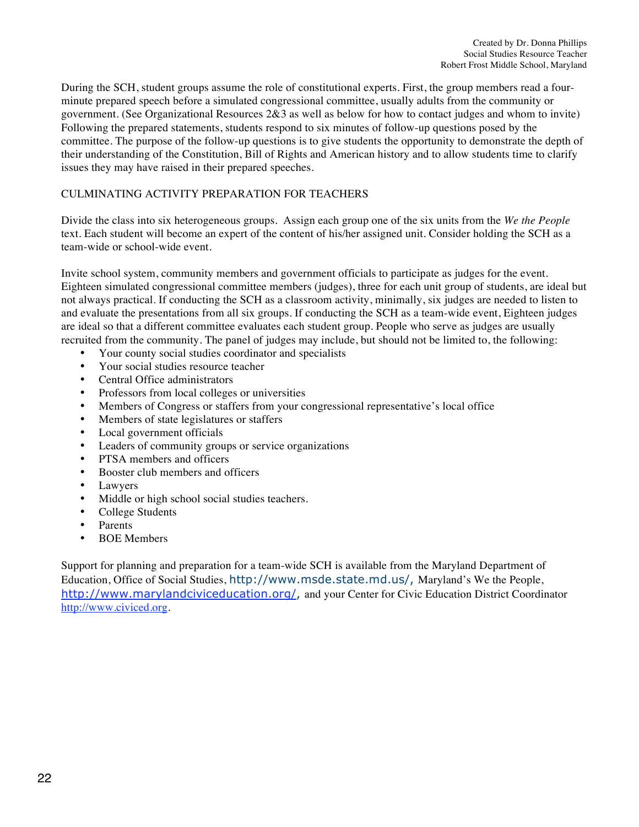During the SCH, student groups assume the role of constitutional experts. First, the group members read a fourminute prepared speech before a simulated congressional committee, usually adults from the community or government. (See Organizational Resources 2&3 as well as below for how to contact judges and whom to invite) Following the prepared statements, students respond to six minutes of follow-up questions posed by the committee. The purpose of the follow-up questions is to give students the opportunity to demonstrate the depth of their understanding of the Constitution, Bill of Rights and American history and to allow students time to clarify issues they may have raised in their prepared speeches.

## CULMINATING ACTIVITY PREPARATION FOR TEACHERS

Divide the class into six heterogeneous groups. Assign each group one of the six units from the *We the People*  text. Each student will become an expert of the content of his/her assigned unit. Consider holding the SCH as a team-wide or school-wide event.

Invite school system, community members and government officials to participate as judges for the event. Eighteen simulated congressional committee members (judges), three for each unit group of students, are ideal but not always practical. If conducting the SCH as a classroom activity, minimally, six judges are needed to listen to and evaluate the presentations from all six groups. If conducting the SCH as a team-wide event, Eighteen judges are ideal so that a different committee evaluates each student group. People who serve as judges are usually recruited from the community. The panel of judges may include, but should not be limited to, the following:

- Your county social studies coordinator and specialists
- Your social studies resource teacher
- Central Office administrators
- Professors from local colleges or universities
- Members of Congress or staffers from your congressional representative's local office
- Members of state legislatures or staffers
- Local government officials
- Leaders of community groups or service organizations<br>• PTSA members and officers
- PTSA members and officers
- Booster club members and officers
- Lawyers<br>• Middle o
- Middle or high school social studies teachers.<br>• College Students
- College Students
- Parents
- BOE Members

Support for planning and preparation for a team-wide SCH is available from the Maryland Department of Education, Office of Social Studies, http://www.msde.state.md.us/, Maryland's We the People, http://www.marylandciviceducation.org/, and your Center for Civic Education District Coordinator http://www.civiced.org.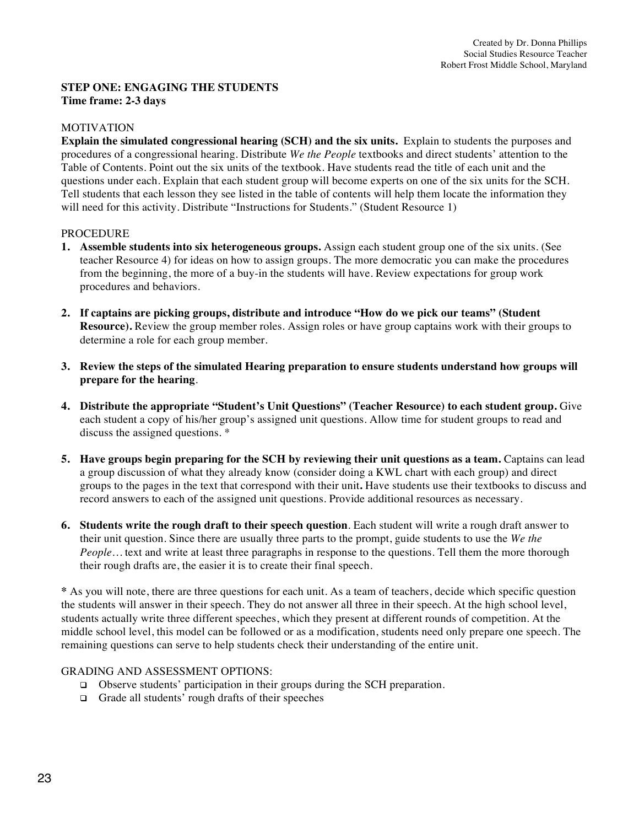## **STEP ONE: ENGAGING THE STUDENTS Time frame: 2-3 days**

## MOTIVATION

**Explain the simulated congressional hearing (SCH) and the six units.** Explain to students the purposes and procedures of a congressional hearing. Distribute *We the People* textbooks and direct students' attention to the Table of Contents. Point out the six units of the textbook. Have students read the title of each unit and the questions under each. Explain that each student group will become experts on one of the six units for the SCH. Tell students that each lesson they see listed in the table of contents will help them locate the information they will need for this activity. Distribute "Instructions for Students." (Student Resource 1)

#### PROCEDURE

- **1. Assemble students into six heterogeneous groups.** Assign each student group one of the six units. (See teacher Resource 4) for ideas on how to assign groups. The more democratic you can make the procedures from the beginning, the more of a buy-in the students will have. Review expectations for group work procedures and behaviors.
- **2. If captains are picking groups, distribute and introduce "How do we pick our teams" (Student Resource).** Review the group member roles. Assign roles or have group captains work with their groups to determine a role for each group member.
- **3. Review the steps of the simulated Hearing preparation to ensure students understand how groups will prepare for the hearing***.*
- **4. Distribute the appropriate "Student's Unit Questions" (Teacher Resource) to each student group.** Give each student a copy of his/her group's assigned unit questions. Allow time for student groups to read and discuss the assigned questions. \*
- **5.** Have groups begin preparing for the SCH by reviewing their unit questions as a team. Captains can lead a group discussion of what they already know (consider doing a KWL chart with each group) and direct groups to the pages in the text that correspond with their unit**.** Have students use their textbooks to discuss and record answers to each of the assigned unit questions. Provide additional resources as necessary.
- **6. Students write the rough draft to their speech question**. Each student will write a rough draft answer to their unit question. Since there are usually three parts to the prompt, guide students to use the *We the People*... text and write at least three paragraphs in response to the questions. Tell them the more thorough their rough drafts are, the easier it is to create their final speech.

**\*** As you will note, there are three questions for each unit. As a team of teachers, decide which specific question the students will answer in their speech. They do not answer all three in their speech. At the high school level, students actually write three different speeches, which they present at different rounds of competition. At the middle school level, this model can be followed or as a modification, students need only prepare one speech. The remaining questions can serve to help students check their understanding of the entire unit.

- ! Observe students' participation in their groups during the SCH preparation.
- $\Box$  Grade all students' rough drafts of their speeches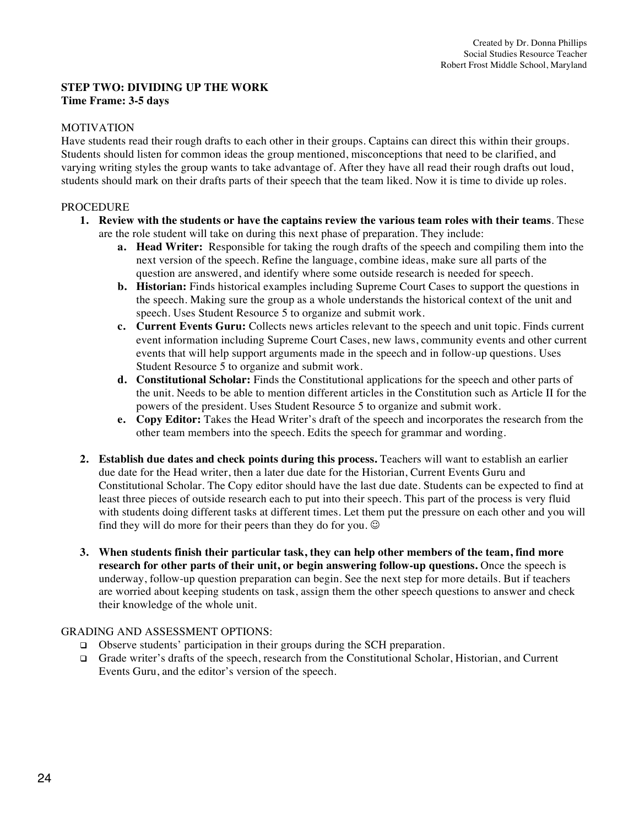## **STEP TWO: DIVIDING UP THE WORK Time Frame: 3-5 days**

#### MOTIVATION

Have students read their rough drafts to each other in their groups. Captains can direct this within their groups. Students should listen for common ideas the group mentioned, misconceptions that need to be clarified, and varying writing styles the group wants to take advantage of. After they have all read their rough drafts out loud, students should mark on their drafts parts of their speech that the team liked. Now it is time to divide up roles.

## PROCEDURE

- **1. Review with the students or have the captains review the various team roles with their teams**. These are the role student will take on during this next phase of preparation. They include:
	- **a. Head Writer:** Responsible for taking the rough drafts of the speech and compiling them into the next version of the speech. Refine the language, combine ideas, make sure all parts of the question are answered, and identify where some outside research is needed for speech.
	- **b. Historian:** Finds historical examples including Supreme Court Cases to support the questions in the speech. Making sure the group as a whole understands the historical context of the unit and speech. Uses Student Resource 5 to organize and submit work.
	- **c. Current Events Guru:** Collects news articles relevant to the speech and unit topic. Finds current event information including Supreme Court Cases, new laws, community events and other current events that will help support arguments made in the speech and in follow-up questions. Uses Student Resource 5 to organize and submit work.
	- **d. Constitutional Scholar:** Finds the Constitutional applications for the speech and other parts of the unit. Needs to be able to mention different articles in the Constitution such as Article II for the powers of the president. Uses Student Resource 5 to organize and submit work.
	- **e. Copy Editor:** Takes the Head Writer's draft of the speech and incorporates the research from the other team members into the speech. Edits the speech for grammar and wording.
- **2. Establish due dates and check points during this process.** Teachers will want to establish an earlier due date for the Head writer, then a later due date for the Historian, Current Events Guru and Constitutional Scholar. The Copy editor should have the last due date. Students can be expected to find at least three pieces of outside research each to put into their speech. This part of the process is very fluid with students doing different tasks at different times. Let them put the pressure on each other and you will find they will do more for their peers than they do for you.  $\odot$
- **3. When students finish their particular task, they can help other members of the team, find more research for other parts of their unit, or begin answering follow-up questions.** Once the speech is underway, follow-up question preparation can begin. See the next step for more details. But if teachers are worried about keeping students on task, assign them the other speech questions to answer and check their knowledge of the whole unit.

- $\Box$  Observe students' participation in their groups during the SCH preparation.
- " Grade writer's drafts of the speech, research from the Constitutional Scholar, Historian, and Current Events Guru, and the editor's version of the speech.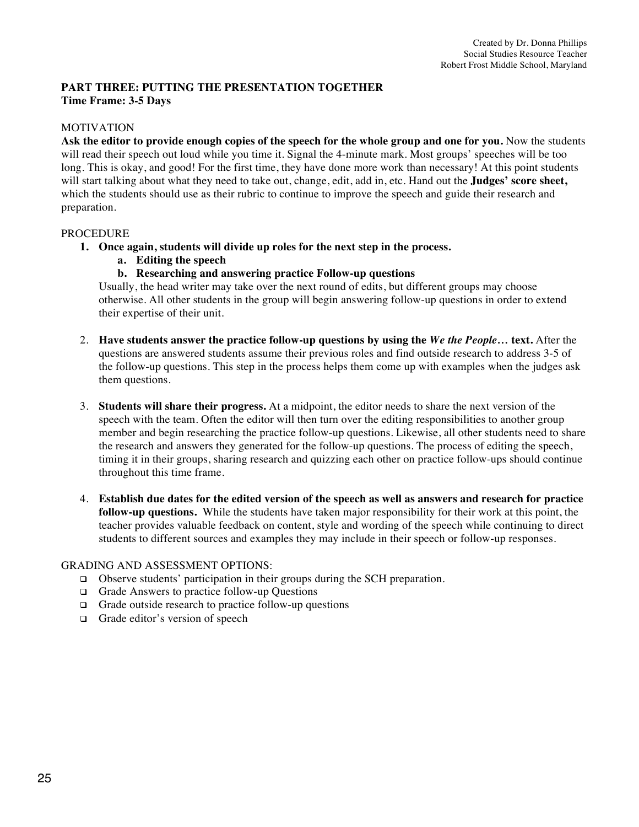## **PART THREE: PUTTING THE PRESENTATION TOGETHER Time Frame: 3-5 Days**

## MOTIVATION

Ask the editor to provide enough copies of the speech for the whole group and one for you. Now the students will read their speech out loud while you time it. Signal the 4-minute mark. Most groups' speeches will be too long. This is okay, and good! For the first time, they have done more work than necessary! At this point students will start talking about what they need to take out, change, edit, add in, etc. Hand out the **Judges' score sheet,** which the students should use as their rubric to continue to improve the speech and guide their research and preparation.

#### PROCEDURE

- **1. Once again, students will divide up roles for the next step in the process.**
	- **a. Editing the speech**
	- **b. Researching and answering practice Follow-up questions**

Usually, the head writer may take over the next round of edits, but different groups may choose otherwise. All other students in the group will begin answering follow-up questions in order to extend their expertise of their unit.

- 2. **Have students answer the practice follow-up questions by using the** *We the People…* **text.** After the questions are answered students assume their previous roles and find outside research to address 3-5 of the follow-up questions. This step in the process helps them come up with examples when the judges ask them questions.
- 3. **Students will share their progress.** At a midpoint, the editor needs to share the next version of the speech with the team. Often the editor will then turn over the editing responsibilities to another group member and begin researching the practice follow-up questions. Likewise, all other students need to share the research and answers they generated for the follow-up questions. The process of editing the speech, timing it in their groups, sharing research and quizzing each other on practice follow-ups should continue throughout this time frame.
- 4. **Establish due dates for the edited version of the speech as well as answers and research for practice follow-up questions.** While the students have taken major responsibility for their work at this point, the teacher provides valuable feedback on content, style and wording of the speech while continuing to direct students to different sources and examples they may include in their speech or follow-up responses.

- ! Observe students' participation in their groups during the SCH preparation.
- □ Grade Answers to practice follow-up Questions
- $\Box$  Grade outside research to practice follow-up questions
- □ Grade editor's version of speech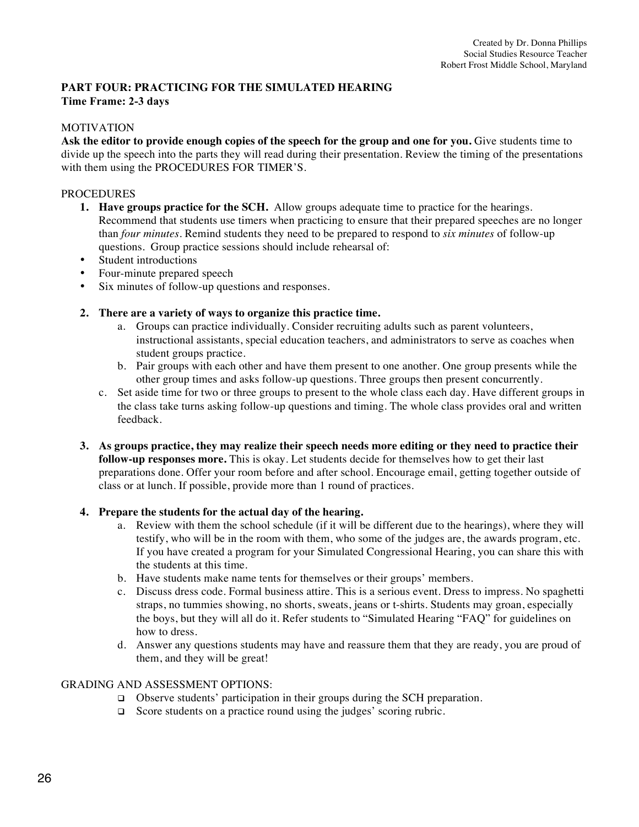## **PART FOUR: PRACTICING FOR THE SIMULATED HEARING Time Frame: 2-3 days**

## MOTIVATION

Ask the editor to provide enough copies of the speech for the group and one for you. Give students time to divide up the speech into the parts they will read during their presentation. Review the timing of the presentations with them using the PROCEDURES FOR TIMER'S.

## PROCEDURES

- **1. Have groups practice for the SCH.** Allow groups adequate time to practice for the hearings. Recommend that students use timers when practicing to ensure that their prepared speeches are no longer than *four minutes.* Remind students they need to be prepared to respond to *six minutes* of follow-up questions. Group practice sessions should include rehearsal of:
- Student introductions
- Four-minute prepared speech
- Six minutes of follow-up questions and responses.
- **2. There are a variety of ways to organize this practice time.**
	- a. Groups can practice individually. Consider recruiting adults such as parent volunteers, instructional assistants, special education teachers, and administrators to serve as coaches when student groups practice.
	- b. Pair groups with each other and have them present to one another. One group presents while the other group times and asks follow-up questions. Three groups then present concurrently.
	- c. Set aside time for two or three groups to present to the whole class each day. Have different groups in the class take turns asking follow-up questions and timing. The whole class provides oral and written feedback.
- **3. As groups practice, they may realize their speech needs more editing or they need to practice their follow-up responses more.** This is okay. Let students decide for themselves how to get their last preparations done. Offer your room before and after school. Encourage email, getting together outside of class or at lunch. If possible, provide more than 1 round of practices.

## **4. Prepare the students for the actual day of the hearing.**

- a. Review with them the school schedule (if it will be different due to the hearings), where they will testify, who will be in the room with them, who some of the judges are, the awards program, etc. If you have created a program for your Simulated Congressional Hearing, you can share this with the students at this time.
- b. Have students make name tents for themselves or their groups' members.
- c. Discuss dress code. Formal business attire. This is a serious event. Dress to impress. No spaghetti straps, no tummies showing, no shorts, sweats, jeans or t-shirts. Students may groan, especially the boys, but they will all do it. Refer students to "Simulated Hearing "FAQ" for guidelines on how to dress.
- d. Answer any questions students may have and reassure them that they are ready, you are proud of them, and they will be great!

- ! Observe students' participation in their groups during the SCH preparation.
- □ Score students on a practice round using the judges' scoring rubric.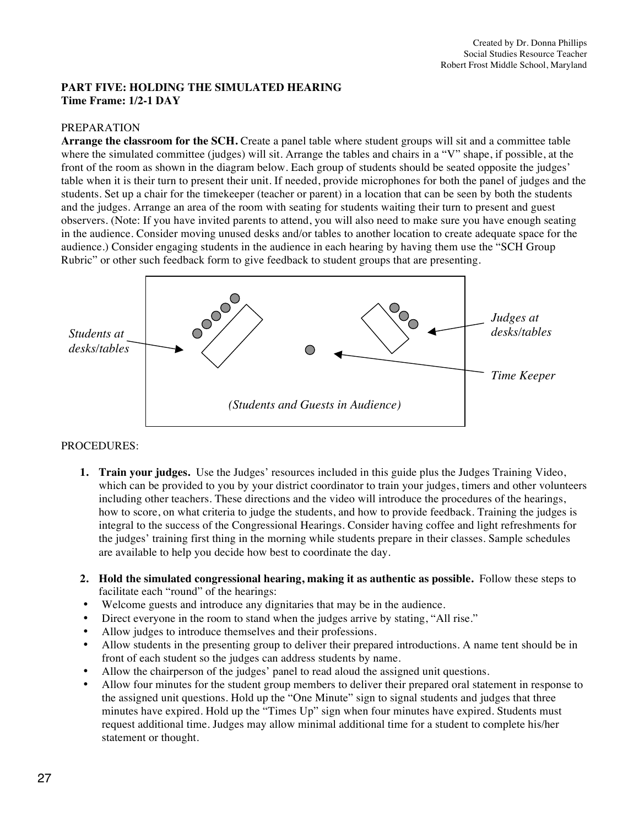## **PART FIVE: HOLDING THE SIMULATED HEARING Time Frame: 1/2-1 DAY**

#### PREPARATION

**Arrange the classroom for the SCH.** Create a panel table where student groups will sit and a committee table where the simulated committee (judges) will sit. Arrange the tables and chairs in a "V" shape, if possible, at the front of the room as shown in the diagram below. Each group of students should be seated opposite the judges' table when it is their turn to present their unit. If needed, provide microphones for both the panel of judges and the students. Set up a chair for the timekeeper (teacher or parent) in a location that can be seen by both the students and the judges. Arrange an area of the room with seating for students waiting their turn to present and guest observers. (Note: If you have invited parents to attend, you will also need to make sure you have enough seating in the audience. Consider moving unused desks and/or tables to another location to create adequate space for the audience.) Consider engaging students in the audience in each hearing by having them use the "SCH Group Rubric" or other such feedback form to give feedback to student groups that are presenting.



## PROCEDURES:

- **1. Train your judges.** Use the Judges' resources included in this guide plus the Judges Training Video, which can be provided to you by your district coordinator to train your judges, timers and other volunteers including other teachers. These directions and the video will introduce the procedures of the hearings, how to score, on what criteria to judge the students, and how to provide feedback. Training the judges is integral to the success of the Congressional Hearings. Consider having coffee and light refreshments for the judges' training first thing in the morning while students prepare in their classes. Sample schedules are available to help you decide how best to coordinate the day.
- **2. Hold the simulated congressional hearing, making it as authentic as possible.** Follow these steps to facilitate each "round" of the hearings:
- Welcome guests and introduce any dignitaries that may be in the audience.
- Direct everyone in the room to stand when the judges arrive by stating, "All rise."
- Allow judges to introduce themselves and their professions.
- Allow students in the presenting group to deliver their prepared introductions. A name tent should be in front of each student so the judges can address students by name.
- Allow the chairperson of the judges' panel to read aloud the assigned unit questions.
- Allow four minutes for the student group members to deliver their prepared oral statement in response to the assigned unit questions. Hold up the "One Minute" sign to signal students and judges that three minutes have expired. Hold up the "Times Up" sign when four minutes have expired. Students must request additional time. Judges may allow minimal additional time for a student to complete his/her statement or thought.